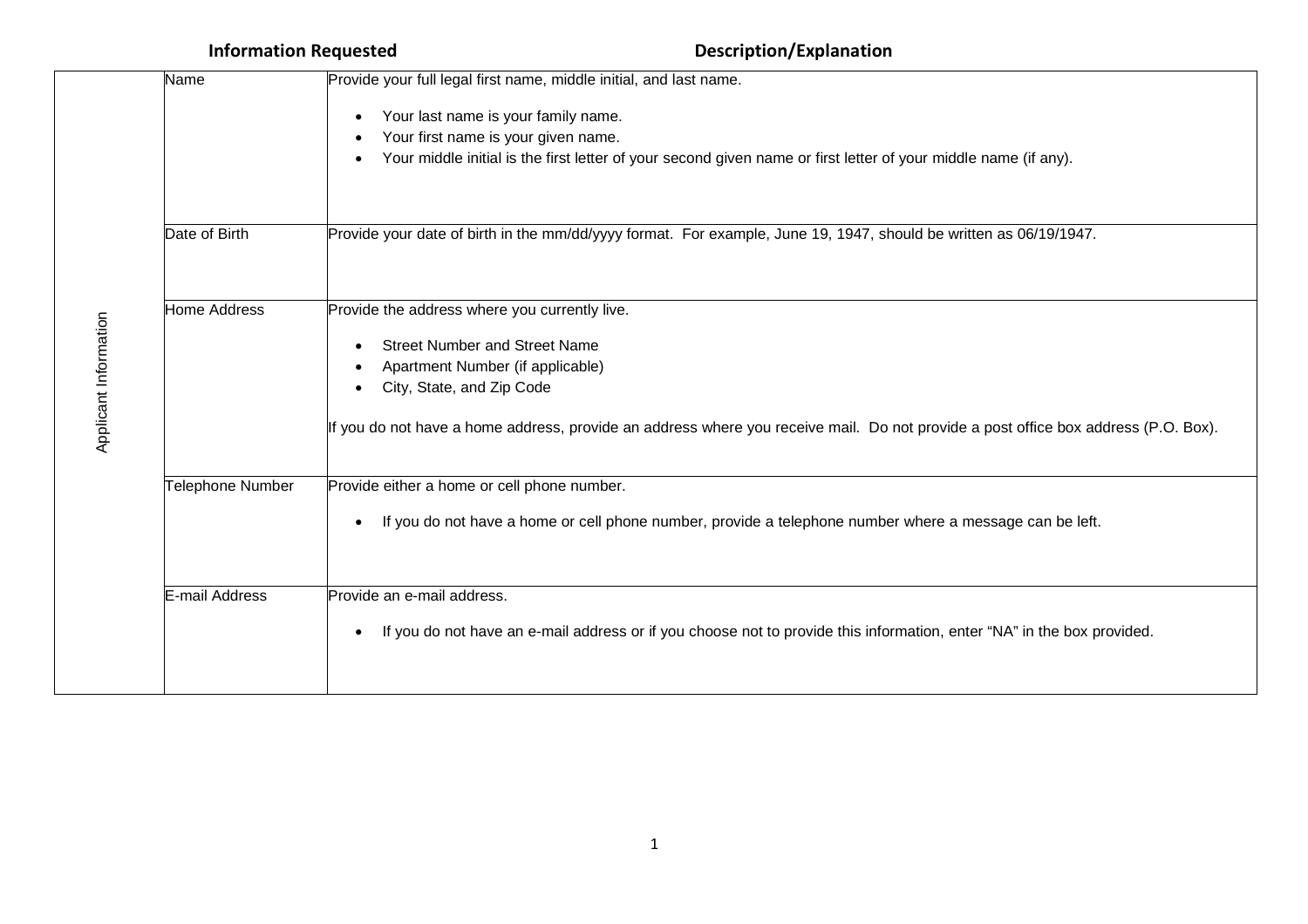| Name             | Provide your full legal first name, middle initial, and last name.                                                                                                                            |
|------------------|-----------------------------------------------------------------------------------------------------------------------------------------------------------------------------------------------|
|                  | Your last name is your family name.<br>Your first name is your given name.<br>Your middle initial is the first letter of your second given name or first letter of your middle name (if any). |
| Date of Birth    | Provide your date of birth in the mm/dd/yyyy format. For example, June 19, 1947, should be written as 06/19/1947.                                                                             |
| Home Address     | Provide the address where you currently live.                                                                                                                                                 |
|                  | <b>Street Number and Street Name</b><br>Apartment Number (if applicable)<br>City, State, and Zip Code                                                                                         |
|                  | If you do not have a home address, provide an address where you receive mail. Do not provide a post office box address (P.O. Box).                                                            |
| Telephone Number | Provide either a home or cell phone number.                                                                                                                                                   |
|                  | If you do not have a home or cell phone number, provide a telephone number where a message can be left.<br>٠                                                                                  |
| E-mail Address   | Provide an e-mail address.                                                                                                                                                                    |
|                  | If you do not have an e-mail address or if you choose not to provide this information, enter "NA" in the box provided.<br>$\bullet$                                                           |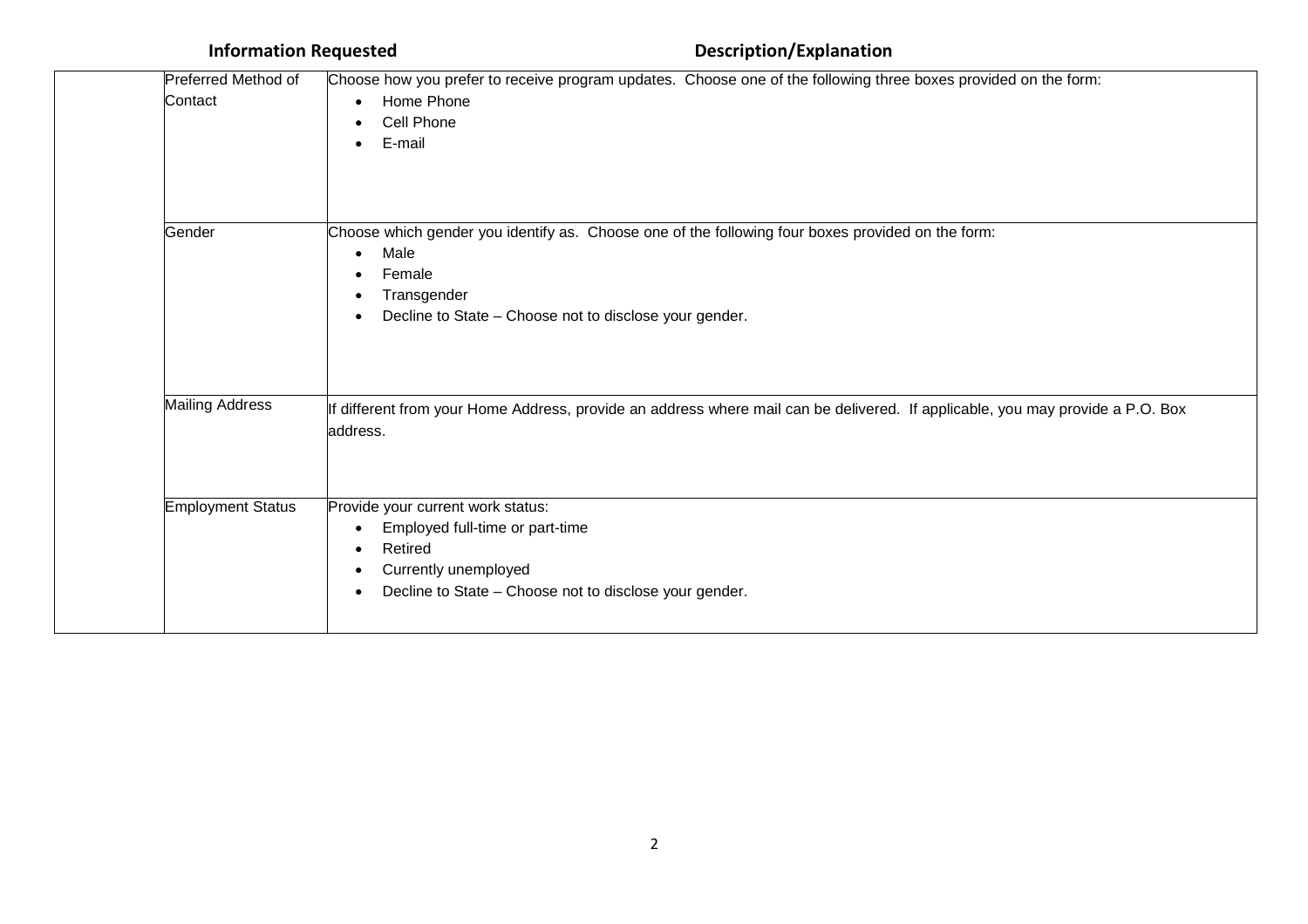| Preferred Method of<br>Contact | Choose how you prefer to receive program updates. Choose one of the following three boxes provided on the form:<br>Home Phone<br>$\bullet$<br>Cell Phone<br>E-mail<br>$\bullet$                                |
|--------------------------------|----------------------------------------------------------------------------------------------------------------------------------------------------------------------------------------------------------------|
| Gender                         | Choose which gender you identify as. Choose one of the following four boxes provided on the form:<br>Male<br>$\bullet$<br>Female<br>Transgender<br>٠<br>Decline to State - Choose not to disclose your gender. |
| <b>Mailing Address</b>         | If different from your Home Address, provide an address where mail can be delivered. If applicable, you may provide a P.O. Box<br>address.                                                                     |
| <b>Employment Status</b>       | Provide your current work status:<br>Employed full-time or part-time<br>$\bullet$<br>Retired<br>$\bullet$<br>Currently unemployed<br>$\bullet$<br>Decline to State - Choose not to disclose your gender.       |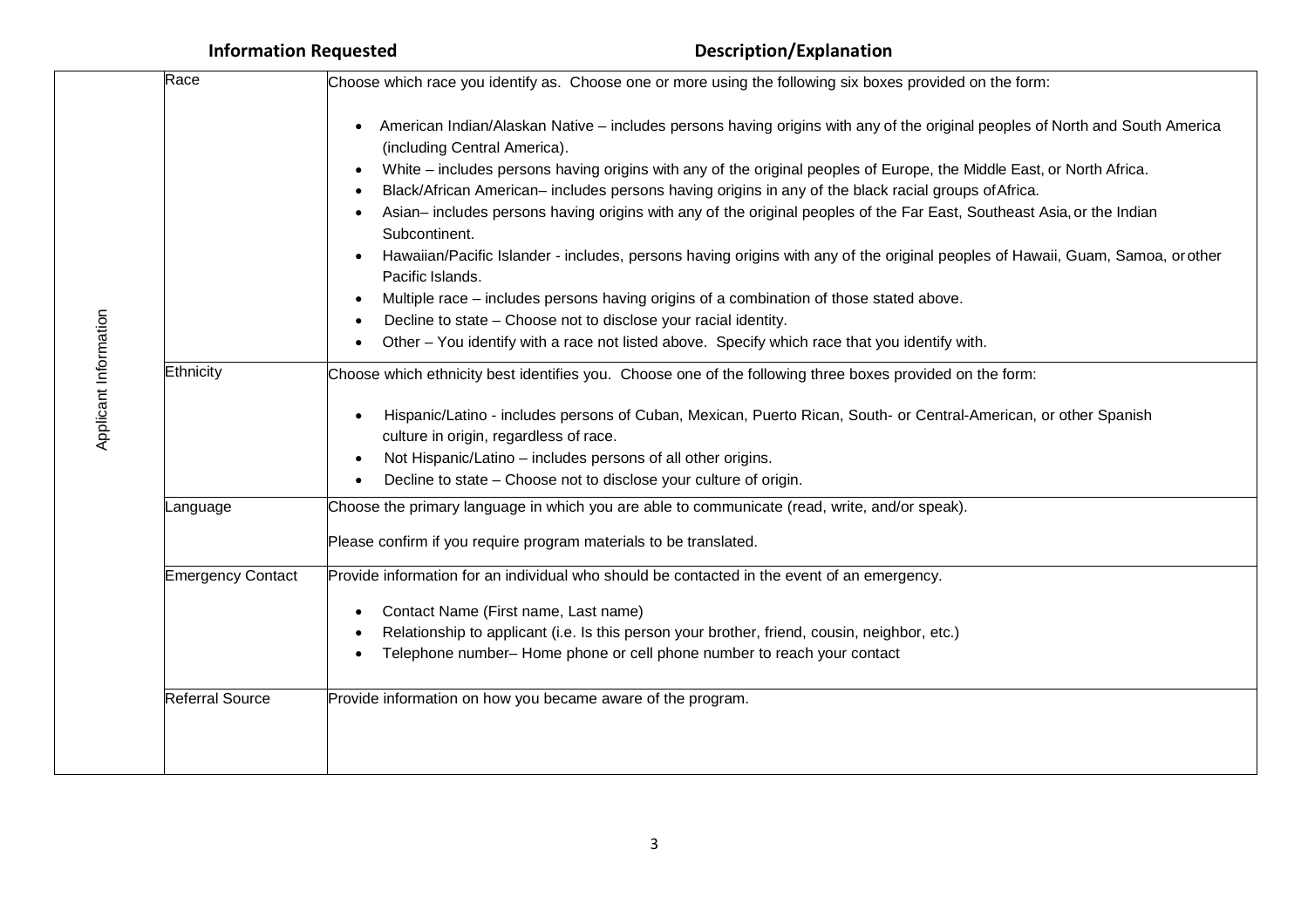| Race<br>Choose which race you identify as. Choose one or more using the following six boxes provided on the form: |                                                                                                                                                                                                                                                                                                                                                                                                                                                                                                                                                                                                                                                                                                                                                                                                                                                                                                                                                            |
|-------------------------------------------------------------------------------------------------------------------|------------------------------------------------------------------------------------------------------------------------------------------------------------------------------------------------------------------------------------------------------------------------------------------------------------------------------------------------------------------------------------------------------------------------------------------------------------------------------------------------------------------------------------------------------------------------------------------------------------------------------------------------------------------------------------------------------------------------------------------------------------------------------------------------------------------------------------------------------------------------------------------------------------------------------------------------------------|
|                                                                                                                   | American Indian/Alaskan Native – includes persons having origins with any of the original peoples of North and South America<br>(including Central America).<br>White – includes persons having origins with any of the original peoples of Europe, the Middle East, or North Africa.<br>Black/African American-includes persons having origins in any of the black racial groups of Africa.<br>Asian-includes persons having origins with any of the original peoples of the Far East, Southeast Asia, or the Indian<br>Subcontinent.<br>Hawaiian/Pacific Islander - includes, persons having origins with any of the original peoples of Hawaii, Guam, Samoa, orother<br>Pacific Islands.<br>Multiple race - includes persons having origins of a combination of those stated above.<br>Decline to state - Choose not to disclose your racial identity.<br>Other - You identify with a race not listed above. Specify which race that you identify with. |
| Ethnicity                                                                                                         | Choose which ethnicity best identifies you. Choose one of the following three boxes provided on the form:<br>Hispanic/Latino - includes persons of Cuban, Mexican, Puerto Rican, South- or Central-American, or other Spanish<br>culture in origin, regardless of race.<br>Not Hispanic/Latino - includes persons of all other origins.<br>Decline to state - Choose not to disclose your culture of origin.                                                                                                                                                                                                                                                                                                                                                                                                                                                                                                                                               |
| Language                                                                                                          | Choose the primary language in which you are able to communicate (read, write, and/or speak).                                                                                                                                                                                                                                                                                                                                                                                                                                                                                                                                                                                                                                                                                                                                                                                                                                                              |
|                                                                                                                   | Please confirm if you require program materials to be translated.                                                                                                                                                                                                                                                                                                                                                                                                                                                                                                                                                                                                                                                                                                                                                                                                                                                                                          |
| <b>Emergency Contact</b>                                                                                          | Provide information for an individual who should be contacted in the event of an emergency.<br>Contact Name (First name, Last name)<br>Relationship to applicant (i.e. Is this person your brother, friend, cousin, neighbor, etc.)<br>Telephone number- Home phone or cell phone number to reach your contact                                                                                                                                                                                                                                                                                                                                                                                                                                                                                                                                                                                                                                             |
| <b>Referral Source</b>                                                                                            | Provide information on how you became aware of the program.                                                                                                                                                                                                                                                                                                                                                                                                                                                                                                                                                                                                                                                                                                                                                                                                                                                                                                |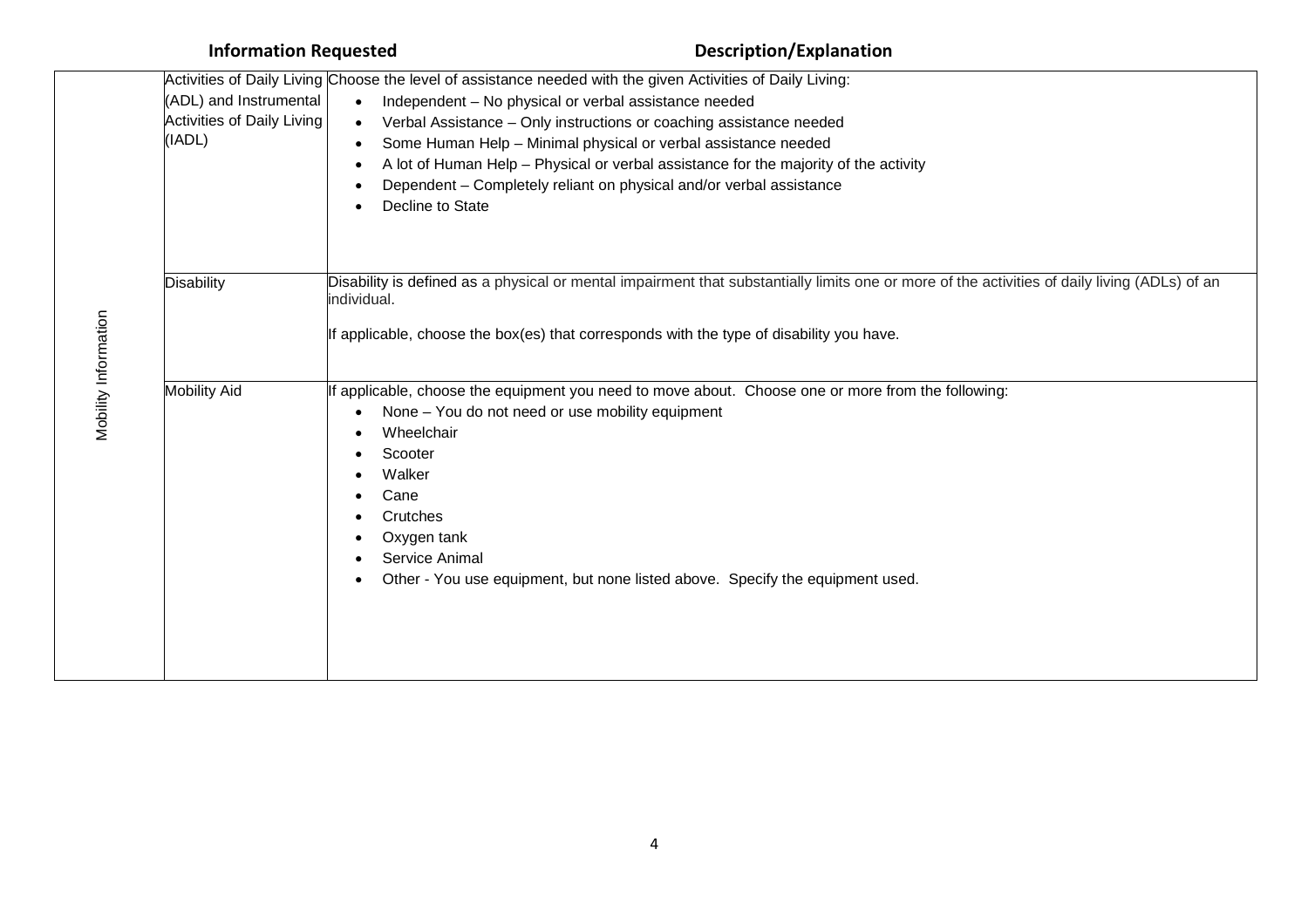| <b>Information Requested</b>                                          |                                                                                                                                                                                                                                      | <b>Description/Explanation</b>                                                                                                                                                                                                                                                                       |
|-----------------------------------------------------------------------|--------------------------------------------------------------------------------------------------------------------------------------------------------------------------------------------------------------------------------------|------------------------------------------------------------------------------------------------------------------------------------------------------------------------------------------------------------------------------------------------------------------------------------------------------|
| (ADL) and Instrumental<br><b>Activities of Daily Living</b><br>(IADL) | Activities of Daily Living Choose the level of assistance needed with the given Activities of Daily Living:<br>Independent - No physical or verbal assistance needed<br>$\bullet$<br>$\bullet$<br>$\bullet$<br>٠<br>Decline to State | Verbal Assistance - Only instructions or coaching assistance needed<br>Some Human Help - Minimal physical or verbal assistance needed<br>A lot of Human Help - Physical or verbal assistance for the majority of the activity<br>Dependent - Completely reliant on physical and/or verbal assistance |
| <b>Disability</b>                                                     | individual.                                                                                                                                                                                                                          | Disability is defined as a physical or mental impairment that substantially limits one or more of the activities of daily living (ADLs) of an<br>If applicable, choose the box(es) that corresponds with the type of disability you have.                                                            |
| <b>Mobility Aid</b>                                                   | None - You do not need or use mobility equipment<br>Wheelchair<br>Scooter<br>Walker<br>Cane<br>Crutches<br>Oxygen tank<br>Service Animal                                                                                             | If applicable, choose the equipment you need to move about. Choose one or more from the following:<br>Other - You use equipment, but none listed above. Specify the equipment used.                                                                                                                  |

# Mobility Inform ation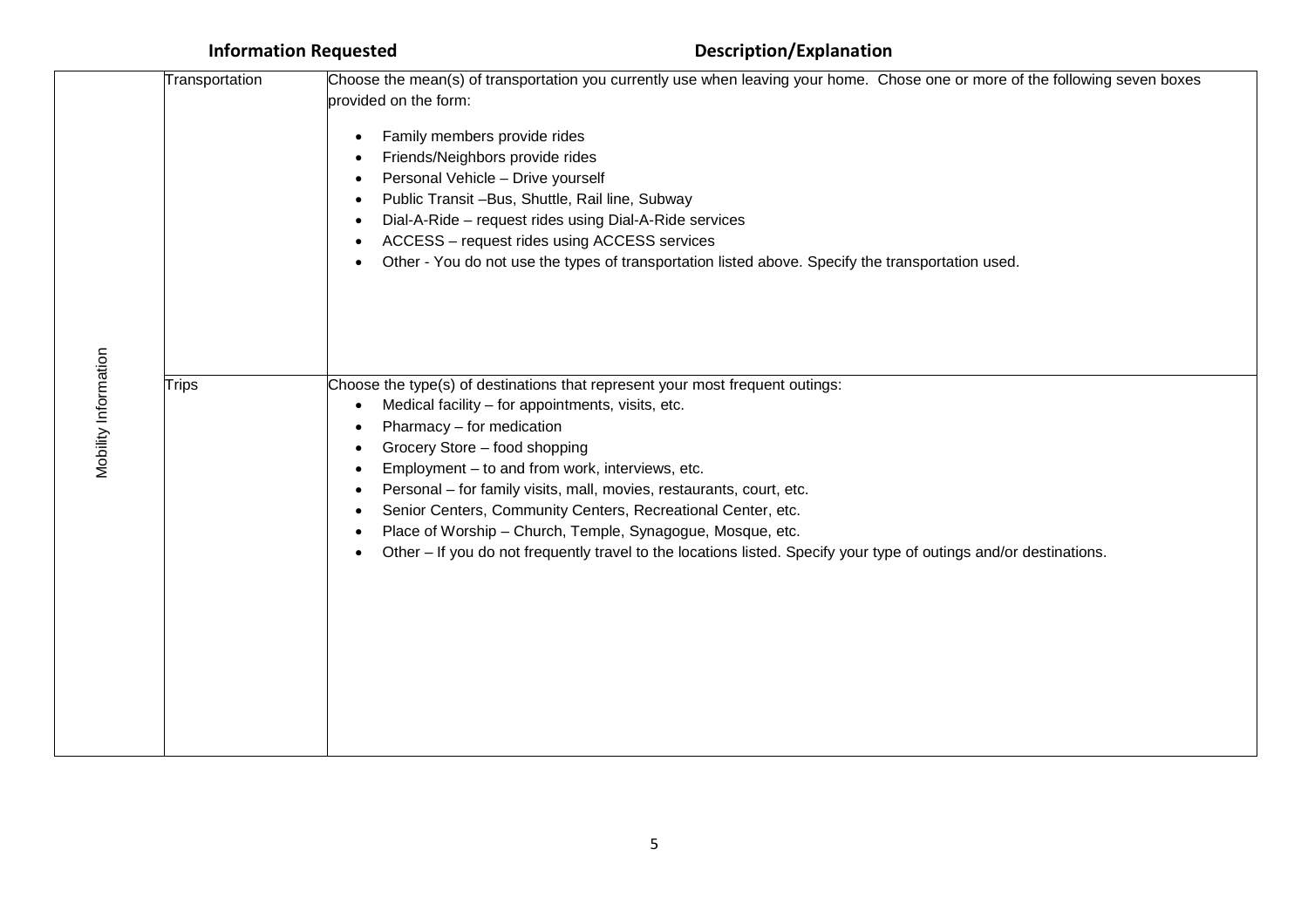|                       | Transportation | Choose the mean(s) of transportation you currently use when leaving your home. Chose one or more of the following seven boxes                                                                                                                                                                                                                                                                                                                                                                                                                                                   |
|-----------------------|----------------|---------------------------------------------------------------------------------------------------------------------------------------------------------------------------------------------------------------------------------------------------------------------------------------------------------------------------------------------------------------------------------------------------------------------------------------------------------------------------------------------------------------------------------------------------------------------------------|
| provided on the form: |                |                                                                                                                                                                                                                                                                                                                                                                                                                                                                                                                                                                                 |
|                       |                | Family members provide rides<br>Friends/Neighbors provide rides<br>Personal Vehicle - Drive yourself<br>Public Transit -Bus, Shuttle, Rail line, Subway<br>Dial-A-Ride - request rides using Dial-A-Ride services<br>ACCESS - request rides using ACCESS services<br>Other - You do not use the types of transportation listed above. Specify the transportation used.                                                                                                                                                                                                          |
| Mobility Information  | <b>Trips</b>   | Choose the type(s) of destinations that represent your most frequent outings:<br>Medical facility - for appointments, visits, etc.<br>Pharmacy - for medication<br>Grocery Store - food shopping<br>Employment - to and from work, interviews, etc.<br>Personal - for family visits, mall, movies, restaurants, court, etc.<br>Senior Centers, Community Centers, Recreational Center, etc.<br>Place of Worship - Church, Temple, Synagogue, Mosque, etc.<br>Other - If you do not frequently travel to the locations listed. Specify your type of outings and/or destinations. |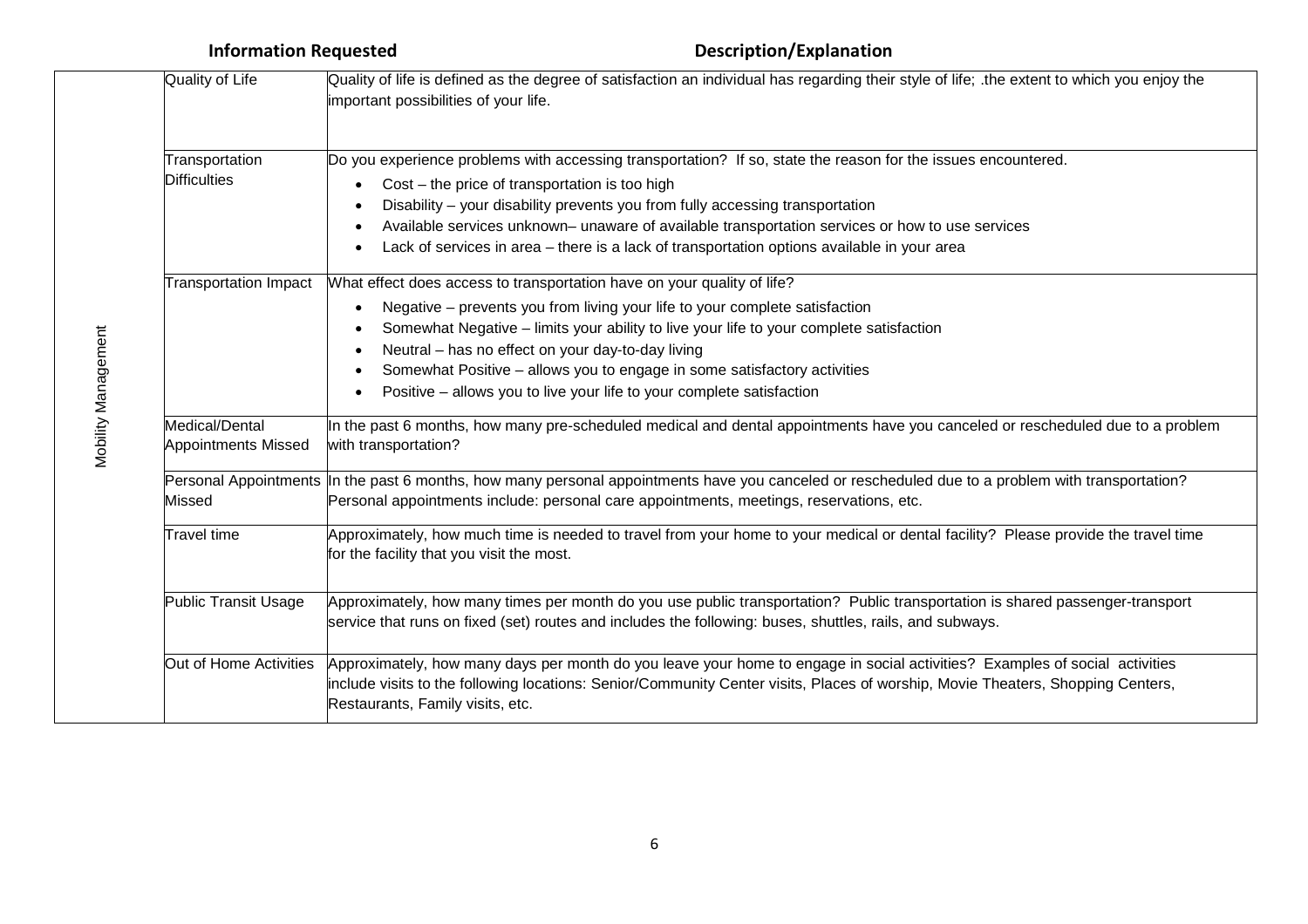| Quality of Life                              | Quality of life is defined as the degree of satisfaction an individual has regarding their style of life; the extent to which you enjoy the<br>important possibilities of your life.                                                                                                                                                                                                                                                                        |  |
|----------------------------------------------|-------------------------------------------------------------------------------------------------------------------------------------------------------------------------------------------------------------------------------------------------------------------------------------------------------------------------------------------------------------------------------------------------------------------------------------------------------------|--|
| Transportation<br><b>Difficulties</b>        | Do you experience problems with accessing transportation? If so, state the reason for the issues encountered.<br>Cost – the price of transportation is too high<br>Disability - your disability prevents you from fully accessing transportation<br>Available services unknown- unaware of available transportation services or how to use services<br>Lack of services in area - there is a lack of transportation options available in your area          |  |
| <b>Transportation Impact</b>                 | What effect does access to transportation have on your quality of life?<br>Negative – prevents you from living your life to your complete satisfaction<br>Somewhat Negative - limits your ability to live your life to your complete satisfaction<br>Neutral - has no effect on your day-to-day living<br>Somewhat Positive - allows you to engage in some satisfactory activities<br>Positive - allows you to live your life to your complete satisfaction |  |
| Medical/Dental<br><b>Appointments Missed</b> | In the past 6 months, how many pre-scheduled medical and dental appointments have you canceled or rescheduled due to a problem<br>with transportation?                                                                                                                                                                                                                                                                                                      |  |
| Missed                                       | Personal Appointments In the past 6 months, how many personal appointments have you canceled or rescheduled due to a problem with transportation?<br>Personal appointments include: personal care appointments, meetings, reservations, etc.                                                                                                                                                                                                                |  |
| Travel time                                  | Approximately, how much time is needed to travel from your home to your medical or dental facility? Please provide the travel time<br>for the facility that you visit the most.                                                                                                                                                                                                                                                                             |  |
| <b>Public Transit Usage</b>                  | Approximately, how many times per month do you use public transportation? Public transportation is shared passenger-transport<br>service that runs on fixed (set) routes and includes the following: buses, shuttles, rails, and subways.                                                                                                                                                                                                                   |  |
| Out of Home Activities                       | Approximately, how many days per month do you leave your home to engage in social activities? Examples of social activities<br>include visits to the following locations: Senior/Community Center visits, Places of worship, Movie Theaters, Shopping Centers,<br>Restaurants, Family visits, etc.                                                                                                                                                          |  |